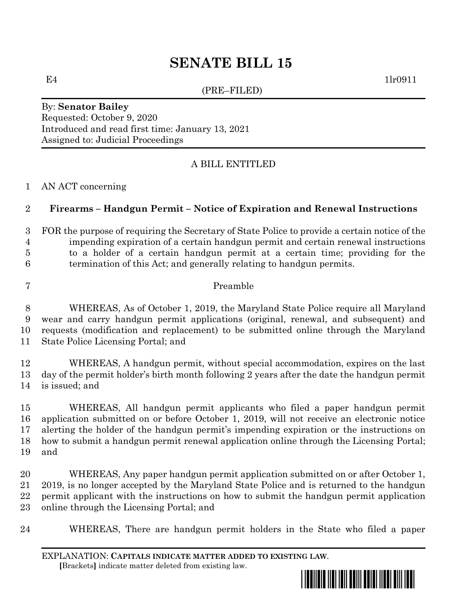# **SENATE BILL 15**

(PRE–FILED)

E4 1lr0911

By: **Senator Bailey** Requested: October 9, 2020 Introduced and read first time: January 13, 2021 Assigned to: Judicial Proceedings

## A BILL ENTITLED

AN ACT concerning

### **Firearms – Handgun Permit – Notice of Expiration and Renewal Instructions**

 FOR the purpose of requiring the Secretary of State Police to provide a certain notice of the impending expiration of a certain handgun permit and certain renewal instructions to a holder of a certain handgun permit at a certain time; providing for the termination of this Act; and generally relating to handgun permits.

### Preamble

 WHEREAS, As of October 1, 2019, the Maryland State Police require all Maryland wear and carry handgun permit applications (original, renewal, and subsequent) and requests (modification and replacement) to be submitted online through the Maryland State Police Licensing Portal; and

 WHEREAS, A handgun permit, without special accommodation, expires on the last day of the permit holder's birth month following 2 years after the date the handgun permit is issued; and

 WHEREAS, All handgun permit applicants who filed a paper handgun permit application submitted on or before October 1, 2019, will not receive an electronic notice alerting the holder of the handgun permit's impending expiration or the instructions on how to submit a handgun permit renewal application online through the Licensing Portal; and

 WHEREAS, Any paper handgun permit application submitted on or after October 1, 2019, is no longer accepted by the Maryland State Police and is returned to the handgun permit applicant with the instructions on how to submit the handgun permit application online through the Licensing Portal; and

WHEREAS, There are handgun permit holders in the State who filed a paper

EXPLANATION: **CAPITALS INDICATE MATTER ADDED TO EXISTING LAW**.  **[**Brackets**]** indicate matter deleted from existing law.